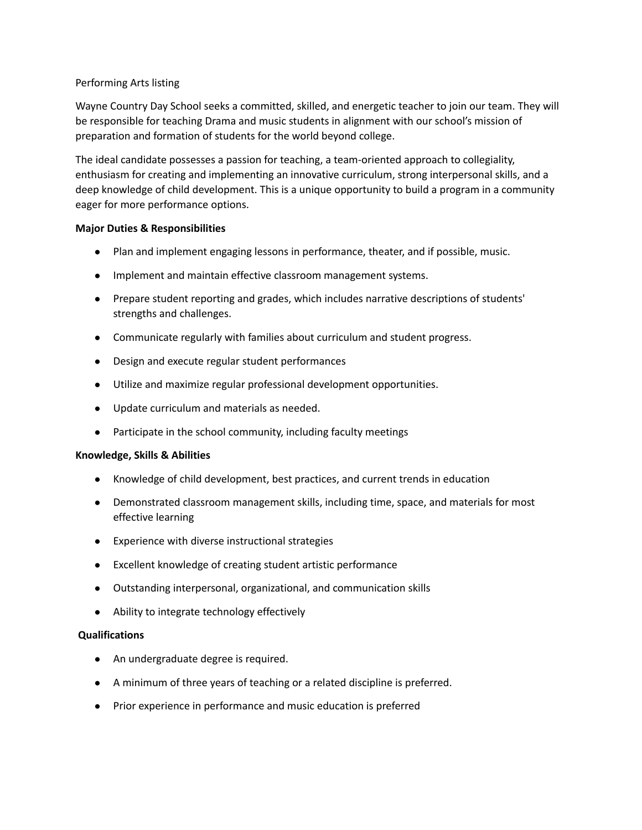## Performing Arts listing

Wayne Country Day School seeks a committed, skilled, and energetic teacher to join our team. They will be responsible for teaching Drama and music students in alignment with our school's mission of preparation and formation of students for the world beyond college.

The ideal candidate possesses a passion for teaching, a team-oriented approach to collegiality, enthusiasm for creating and implementing an innovative curriculum, strong interpersonal skills, and a deep knowledge of child development. This is a unique opportunity to build a program in a community eager for more performance options.

## **Major Duties & Responsibilities**

- Plan and implement engaging lessons in performance, theater, and if possible, music.
- Implement and maintain effective classroom management systems.
- Prepare student reporting and grades, which includes narrative descriptions of students' strengths and challenges.
- Communicate regularly with families about curriculum and student progress.
- Design and execute regular student performances
- Utilize and maximize regular professional development opportunities.
- Update curriculum and materials as needed.
- Participate in the school community, including faculty meetings

## **Knowledge, Skills & Abilities**

- Knowledge of child development, best practices, and current trends in education
- Demonstrated classroom management skills, including time, space, and materials for most effective learning
- Experience with diverse instructional strategies
- Excellent knowledge of creating student artistic performance
- Outstanding interpersonal, organizational, and communication skills
- Ability to integrate technology effectively

## **Qualifications**

- An undergraduate degree is required.
- A minimum of three years of teaching or a related discipline is preferred.
- Prior experience in performance and music education is preferred